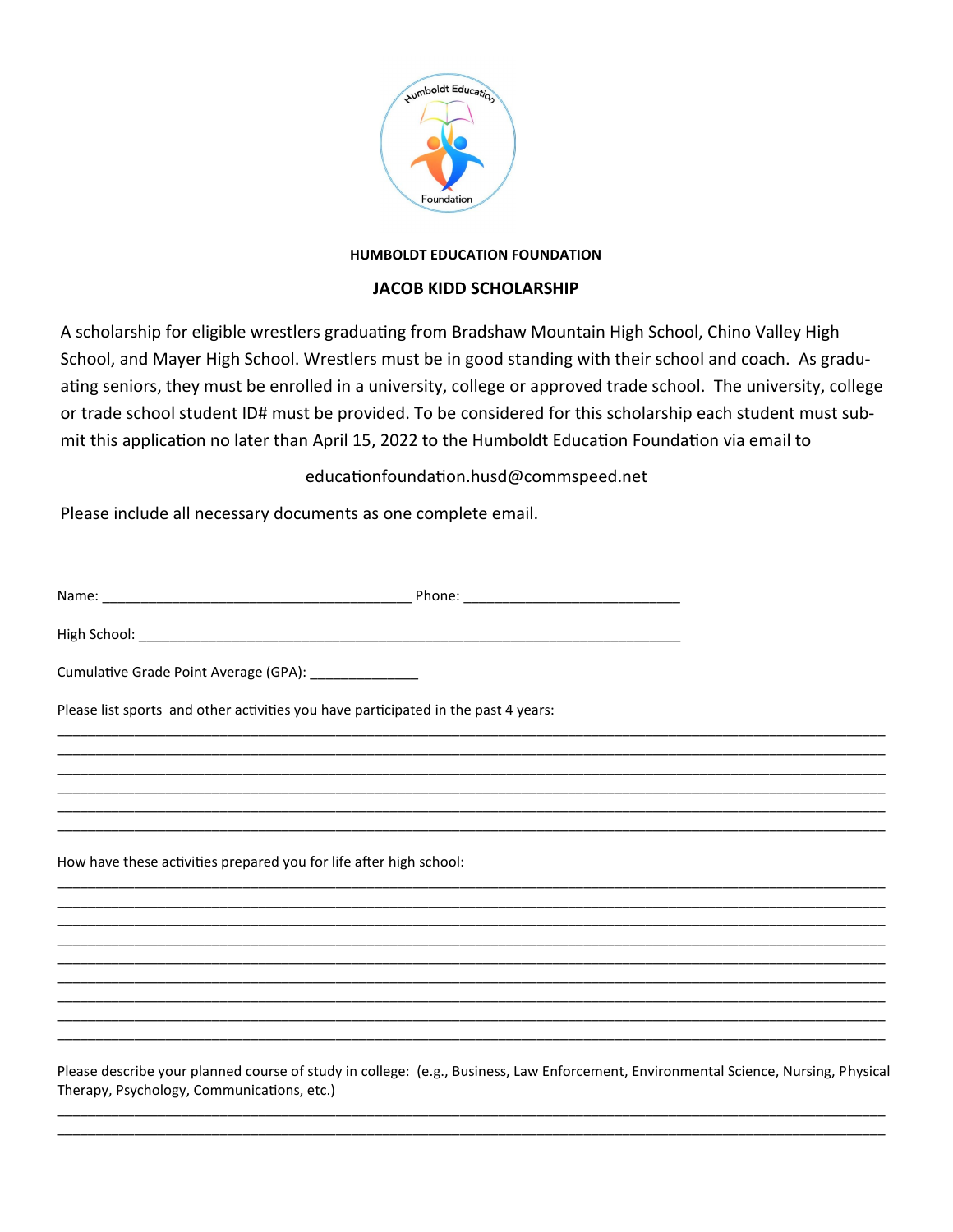

## **HUMBOLDT EDUCATION FOUNDATION**

## **JACOB KIDD SCHOLARSHIP**

A scholarship for eligible wrestlers graduating from Bradshaw Mountain High School, Chino Valley High School, and Mayer High School. Wrestlers must be in good standing with their school and coach. As graduating seniors, they must be enrolled in a university, college or approved trade school. The university, college or trade school student ID# must be provided. To be considered for this scholarship each student must submit this application no later than April 15, 2022 to the Humboldt Education Foundation via email to

educationfoundation.husd@commspeed.net

Please include all necessary documents as one complete email.

Therapy, Psychology, Communications, etc.)

| Cumulative Grade Point Average (GPA): _______________                                                                               |  |
|-------------------------------------------------------------------------------------------------------------------------------------|--|
| Please list sports and other activities you have participated in the past 4 years:                                                  |  |
|                                                                                                                                     |  |
|                                                                                                                                     |  |
|                                                                                                                                     |  |
| How have these activities prepared you for life after high school:                                                                  |  |
|                                                                                                                                     |  |
|                                                                                                                                     |  |
|                                                                                                                                     |  |
|                                                                                                                                     |  |
| Please describe your planned course of study in college: (e.g., Business, Law Enforcement, Environmental Science, Nursing, Physical |  |

\_\_\_\_\_\_\_\_\_\_\_\_\_\_\_\_\_\_\_\_\_\_\_\_\_\_\_\_\_\_\_\_\_\_\_\_\_\_\_\_\_\_\_\_\_\_\_\_\_\_\_\_\_\_\_\_\_\_\_\_\_\_\_\_\_\_\_\_\_\_\_\_\_\_\_\_\_\_\_\_\_\_\_\_\_\_\_\_\_\_\_\_\_\_\_\_\_\_\_\_\_\_\_\_\_\_\_ \_\_\_\_\_\_\_\_\_\_\_\_\_\_\_\_\_\_\_\_\_\_\_\_\_\_\_\_\_\_\_\_\_\_\_\_\_\_\_\_\_\_\_\_\_\_\_\_\_\_\_\_\_\_\_\_\_\_\_\_\_\_\_\_\_\_\_\_\_\_\_\_\_\_\_\_\_\_\_\_\_\_\_\_\_\_\_\_\_\_\_\_\_\_\_\_\_\_\_\_\_\_\_\_\_\_\_